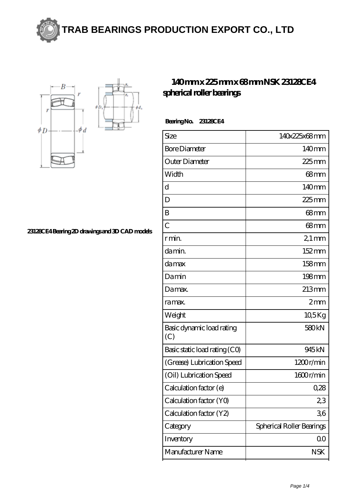



**[23128CE4 Bearing 2D drawings and 3D CAD models](https://m.exmah.com/pic-93134.html)**

## **[140 mm x 225 mm x 68 mm NSK 23128CE4](https://m.exmah.com/af-93134-nsk-23128ce4-spherical-roller-bearings.html) [spherical roller bearings](https://m.exmah.com/af-93134-nsk-23128ce4-spherical-roller-bearings.html)**

| <b>Bearing No.</b> | 23128CE4 |
|--------------------|----------|
|--------------------|----------|

| <b>Bore Diameter</b><br>Outer Diameter<br>Width<br>$\mathbf d$<br>D<br>B<br>$\overline{C}$<br>r min.<br>da min.<br>damax<br>Damin<br>Damax.<br>ra max.<br>Weight<br>Basic dynamic load rating<br>(C)<br>Basic static load rating (CO)<br>(Grease) Lubrication Speed<br>(Oil) Lubrication Speed | Size | 140x225x68mm              |
|------------------------------------------------------------------------------------------------------------------------------------------------------------------------------------------------------------------------------------------------------------------------------------------------|------|---------------------------|
|                                                                                                                                                                                                                                                                                                |      | 140mm                     |
|                                                                                                                                                                                                                                                                                                |      | $225$ mm                  |
|                                                                                                                                                                                                                                                                                                |      | 68 <sub>mm</sub>          |
|                                                                                                                                                                                                                                                                                                |      | $140$ mm                  |
|                                                                                                                                                                                                                                                                                                |      | $225$ mm                  |
|                                                                                                                                                                                                                                                                                                |      | 68mm                      |
|                                                                                                                                                                                                                                                                                                |      | $68 \text{mm}$            |
|                                                                                                                                                                                                                                                                                                |      | $21 \,\mathrm{mm}$        |
|                                                                                                                                                                                                                                                                                                |      | $152 \,\mathrm{mm}$       |
|                                                                                                                                                                                                                                                                                                |      | $158$ mm                  |
|                                                                                                                                                                                                                                                                                                |      | $198$ mm                  |
|                                                                                                                                                                                                                                                                                                |      | 213mm                     |
|                                                                                                                                                                                                                                                                                                |      | 2mm                       |
|                                                                                                                                                                                                                                                                                                |      | $10,5$ Kg                 |
|                                                                                                                                                                                                                                                                                                |      | 580 <sub>kN</sub>         |
|                                                                                                                                                                                                                                                                                                |      | 945 <sub>kN</sub>         |
|                                                                                                                                                                                                                                                                                                |      | 1200r/min                 |
|                                                                                                                                                                                                                                                                                                |      | 1600r/min                 |
| Calculation factor (e)                                                                                                                                                                                                                                                                         |      | 0,28                      |
| Calculation factor (YO)                                                                                                                                                                                                                                                                        |      | 23                        |
| Calculation factor (Y2)                                                                                                                                                                                                                                                                        |      | 36                        |
| Category                                                                                                                                                                                                                                                                                       |      | Spherical Roller Bearings |
| Inventory                                                                                                                                                                                                                                                                                      |      | 00                        |
| Manufacturer Name<br><b>NSK</b>                                                                                                                                                                                                                                                                |      |                           |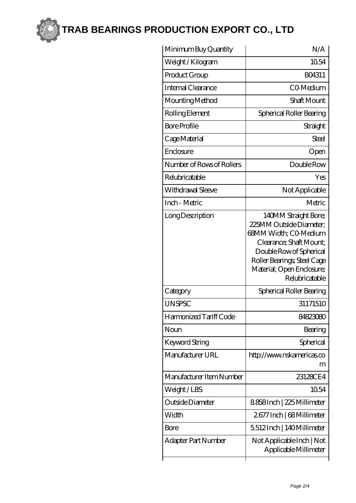

**[TRAB BEARINGS PRODUCTION EXPORT CO., LTD](https://m.exmah.com)**

| Minimum Buy Quantity      | N/A                                                                                                                                                                                                          |
|---------------------------|--------------------------------------------------------------------------------------------------------------------------------------------------------------------------------------------------------------|
| Weight / Kilogram         | 1054                                                                                                                                                                                                         |
| Product Group             | BO4311                                                                                                                                                                                                       |
| Internal Clearance        | C0-Medium                                                                                                                                                                                                    |
| Mounting Method           | Shaft Mount                                                                                                                                                                                                  |
| Rolling Element           | Spherical Roller Bearing                                                                                                                                                                                     |
| <b>Bore Profile</b>       | Straight                                                                                                                                                                                                     |
| Cage Material             | Steel                                                                                                                                                                                                        |
| Enclosure                 | Open                                                                                                                                                                                                         |
| Number of Rows of Rollers | Double Row                                                                                                                                                                                                   |
| Relubricatable            | Yes                                                                                                                                                                                                          |
| Withdrawal Sleeve         | Not Applicable                                                                                                                                                                                               |
| Inch - Metric             | Metric                                                                                                                                                                                                       |
| Long Description          | 140MM Straight Bore;<br>225MM Outside Diameter:<br>68MM Width; CO-Medium<br>Clearance; Shaft Mount;<br>Double Row of Spherical<br>Roller Bearings; Steel Cage<br>Material; Open Enclosure;<br>Relubricatable |
| Category                  | Spherical Roller Bearing                                                                                                                                                                                     |
| <b>UNSPSC</b>             | 31171510                                                                                                                                                                                                     |
| Harmonized Tariff Code    | 84823080                                                                                                                                                                                                     |
| Noun                      | Bearing                                                                                                                                                                                                      |
| Keyword String            | Spherical                                                                                                                                                                                                    |
| Manufacturer URL          | http://www.nskamericas.co<br>m                                                                                                                                                                               |
| Manufacturer Item Number  | 23128CE4                                                                                                                                                                                                     |
| Weight/LBS                | 1054                                                                                                                                                                                                         |
| Outside Diameter          | 8858Inch   225 Millimeter                                                                                                                                                                                    |
| Width                     | 2677 Inch   68 Millimeter                                                                                                                                                                                    |
| <b>Bore</b>               | 5512Inch   140Millimeter                                                                                                                                                                                     |
| Adapter Part Number       | Not Applicable Inch   Not<br>Applicable Millimeter                                                                                                                                                           |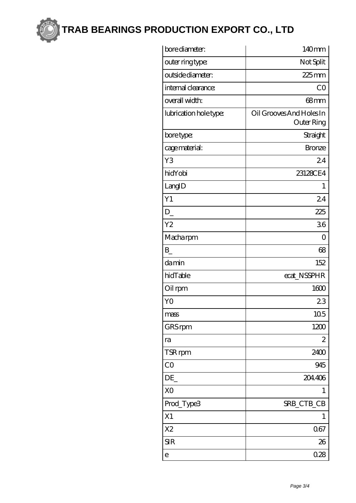

**[TRAB BEARINGS PRODUCTION EXPORT CO., LTD](https://m.exmah.com)**

| bore diameter:         | 140mm                                         |
|------------------------|-----------------------------------------------|
| outer ring type:       | Not Split                                     |
| outside diameter:      | $225$ mm                                      |
| internal clearance:    | CO                                            |
| overall width:         | $68$ mm                                       |
| lubrication hole type: | Oil Grooves And Holes In<br><b>Outer Ring</b> |
| bore type:             | Straight                                      |
| cage material:         | <b>Bronze</b>                                 |
| Y3                     | 24                                            |
| hidYobi                | 23128CE4                                      |
| LangID                 | 1                                             |
| Y1                     | 24                                            |
| $D_{-}$                | 225                                           |
| Y <sub>2</sub>         | 36                                            |
| Macharpm               | 0                                             |
| $B_{-}$                | 68                                            |
| damin                  | 152                                           |
| hidTable               | ecat NSSPHR                                   |
| Oil rpm                | 1600                                          |
| YO                     | 23                                            |
| mass                   | 10 <sub>5</sub>                               |
| GRS rpm                | 1200                                          |
| ra                     | 2                                             |
| TSR rpm                | 2400                                          |
| $\overline{C}O$        | 945                                           |
| DE                     | 204406                                        |
| X <sub>O</sub>         | 1                                             |
| Prod_Type3             | SRB_CTB_CB                                    |
| X1                     | 1                                             |
| X <sub>2</sub>         | 067                                           |
| <b>SIR</b>             | 26                                            |
| e                      | 028                                           |